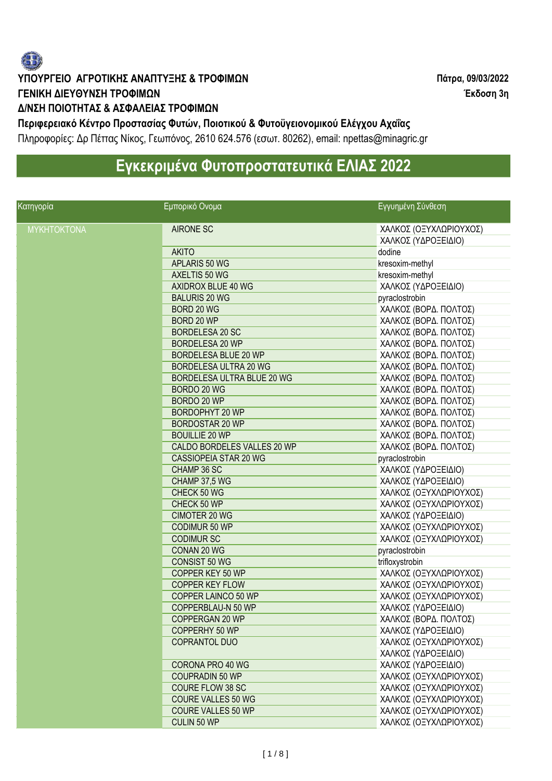

### **ΥΠΟΥΡΓΕΙΟ ΑΓΡΟΤΙΚΗΣ ΑΝΑΠΤΥΞΗΣ & ΤΡΟΦΙΜΩΝ Πάτρα, 09/03/2022 ΓΕΝΙΚΗ ΔΙΕΥΘΥΝΣΗ ΤΡΟΦΙΜΩΝ Έκδοση 3η**

#### **Δ/ΝΣΗ ΠΟΙΟΤΗΤΑΣ & ΑΣΦΑΛΕΙΑΣ ΤΡΟΦΙΜΩΝ**

**Περιφερειακό Κέντρο Προστασίας Φυτών, Ποιοτικού & Φυτοϋγειονομικού Ελέγχου Αχαΐας**  Πληροφορίες: Δρ Πέττας Νίκος, Γεωπόνος, 2610 624.576 (εσωτ. 80262), email: npettas@minagric.gr

# **Εγκεκριμένα Φυτοπροστατευτικά ΕΛΙΑΣ 2022**

| Κατηγορία          | Εμπορικό Ονομα              | Εγγυημένη Σύνθεση      |
|--------------------|-----------------------------|------------------------|
| <b>MYKHTOKTONA</b> | <b>AIRONE SC</b>            | ΧΑΛΚΟΣ (ΟΞΥΧΛΩΡΙΟΥΧΟΣ) |
|                    |                             | ΧΑΛΚΟΣ (ΥΔΡΟΞΕΙΔΙΟ)    |
|                    | <b>AKITO</b>                | dodine                 |
|                    | APLARIS 50 WG               | kresoxim-methyl        |
|                    | AXELTIS 50 WG               | kresoxim-methyl        |
|                    | AXIDROX BLUE 40 WG          | ΧΑΛΚΟΣ (ΥΔΡΟΞΕΙΔΙΟ)    |
|                    | <b>BALURIS 20 WG</b>        | pyraclostrobin         |
|                    | BORD 20 WG                  | ΧΑΛΚΟΣ (ΒΟΡΔ. ΠΟΛΤΟΣ)  |
|                    | BORD 20 WP                  | ΧΑΛΚΟΣ (ΒΟΡΔ. ΠΟΛΤΟΣ)  |
|                    | BORDELESA 20 SC             | ΧΑΛΚΟΣ (ΒΟΡΔ. ΠΟΛΤΟΣ)  |
|                    | BORDELESA 20 WP             | ΧΑΛΚΟΣ (ΒΟΡΔ. ΠΟΛΤΟΣ)  |
|                    | BORDELESA BLUE 20 WP        | ΧΑΛΚΟΣ (ΒΟΡΔ. ΠΟΛΤΟΣ)  |
|                    | BORDELESA ULTRA 20 WG       | ΧΑΛΚΟΣ (ΒΟΡΔ. ΠΟΛΤΟΣ)  |
|                    | BORDELESA ULTRA BLUE 20 WG  | ΧΑΛΚΟΣ (ΒΟΡΔ. ΠΟΛΤΟΣ)  |
|                    | BORDO 20 WG                 | ΧΑΛΚΟΣ (ΒΟΡΔ. ΠΟΛΤΟΣ)  |
|                    | BORDO 20 WP                 | ΧΑΛΚΟΣ (ΒΟΡΔ. ΠΟΛΤΟΣ)  |
|                    | BORDOPHYT 20 WP             | ΧΑΛΚΟΣ (ΒΟΡΔ. ΠΟΛΤΟΣ)  |
|                    | <b>BORDOSTAR 20 WP</b>      | ΧΑΛΚΟΣ (ΒΟΡΔ. ΠΟΛΤΟΣ)  |
|                    | <b>BOUILLIE 20 WP</b>       | ΧΑΛΚΟΣ (ΒΟΡΔ. ΠΟΛΤΟΣ)  |
|                    | CALDO BORDELES VALLES 20 WP | ΧΑΛΚΟΣ (ΒΟΡΔ. ΠΟΛΤΟΣ)  |
|                    | CASSIOPEIA STAR 20 WG       | pyraclostrobin         |
|                    | CHAMP 36 SC                 | ΧΑΛΚΟΣ (ΥΔΡΟΞΕΙΔΙΟ)    |
|                    | CHAMP 37,5 WG               | ΧΑΛΚΟΣ (ΥΔΡΟΞΕΙΔΙΟ)    |
|                    | CHECK 50 WG                 | ΧΑΛΚΟΣ (ΟΞΥΧΛΩΡΙΟΥΧΟΣ) |
|                    | CHECK 50 WP                 | ΧΑΛΚΟΣ (ΟΞΥΧΛΩΡΙΟΥΧΟΣ) |
|                    | <b>CIMOTER 20 WG</b>        | ΧΑΛΚΟΣ (ΥΔΡΟΞΕΙΔΙΟ)    |
|                    | CODIMUR 50 WP               | ΧΑΛΚΟΣ (ΟΞΥΧΛΩΡΙΟΥΧΟΣ) |
|                    | <b>CODIMUR SC</b>           | ΧΑΛΚΟΣ (ΟΞΥΧΛΩΡΙΟΥΧΟΣ) |
|                    | CONAN 20 WG                 | pyraclostrobin         |
|                    | <b>CONSIST 50 WG</b>        | trifloxystrobin        |
|                    | COPPER KEY 50 WP            | ΧΑΛΚΟΣ (ΟΞΥΧΛΩΡΙΟΥΧΟΣ) |
|                    | <b>COPPER KEY FLOW</b>      | ΧΑΛΚΟΣ (ΟΞΥΧΛΩΡΙΟΥΧΟΣ) |
|                    | COPPER LAINCO 50 WP         | ΧΑΛΚΟΣ (ΟΞΥΧΛΩΡΙΟΥΧΟΣ) |
|                    | COPPERBLAU-N 50 WP          | ΧΑΛΚΟΣ (ΥΔΡΟΞΕΙΔΙΟ)    |
|                    | COPPERGAN 20 WP             | ΧΑΛΚΟΣ (ΒΟΡΔ. ΠΟΛΤΟΣ)  |
|                    | <b>COPPERHY 50 WP</b>       | ΧΑΛΚΟΣ (ΥΔΡΟΞΕΙΔΙΟ)    |
|                    | COPRANTOL DUO               | ΧΑΛΚΟΣ (ΟΞΥΧΛΩΡΙΟΥΧΟΣ) |
|                    |                             | ΧΑΛΚΟΣ (ΥΔΡΟΞΕΙΔΙΟ)    |
|                    | CORONA PRO 40 WG            | ΧΑΛΚΟΣ (ΥΔΡΟΞΕΙΔΙΟ)    |
|                    | <b>COUPRADIN 50 WP</b>      | ΧΑΛΚΟΣ (ΟΞΥΧΛΩΡΙΟΥΧΟΣ) |
|                    | <b>COURE FLOW 38 SC</b>     | ΧΑΛΚΟΣ (ΟΞΥΧΛΩΡΙΟΥΧΟΣ) |
|                    | <b>COURE VALLES 50 WG</b>   | ΧΑΛΚΟΣ (ΟΞΥΧΛΩΡΙΟΥΧΟΣ) |
|                    | <b>COURE VALLES 50 WP</b>   | ΧΑΛΚΟΣ (ΟΞΥΧΛΩΡΙΟΥΧΟΣ) |
|                    | CULIN 50 WP                 | ΧΑΛΚΟΣ (ΟΞΥΧΛΩΡΙΟΥΧΟΣ) |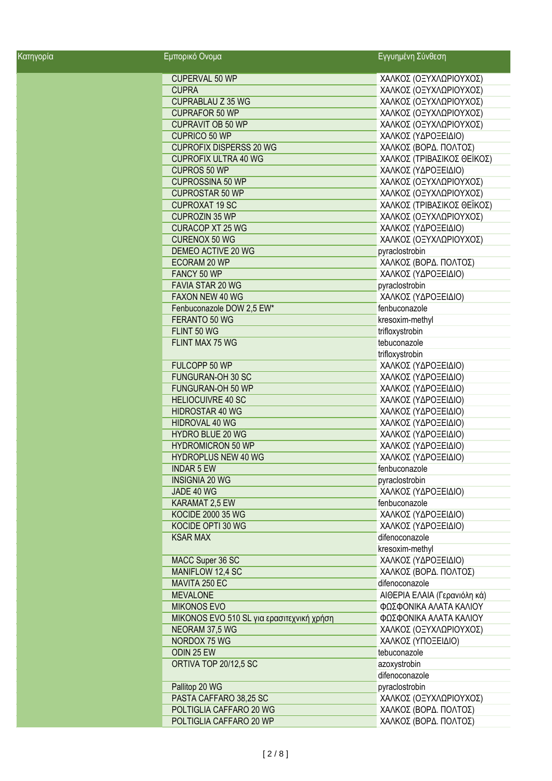| Κατηγορία | Εμπορικό Ονομα                            | Εγγυημένη Σύνθεση            |
|-----------|-------------------------------------------|------------------------------|
|           | CUPERVAL 50 WP                            | ΧΑΛΚΟΣ (ΟΞΥΧΛΩΡΙΟΥΧΟΣ)       |
|           | <b>CUPRA</b>                              | ΧΑΛΚΟΣ (ΟΞΥΧΛΩΡΙΟΥΧΟΣ)       |
|           | <b>CUPRABLAU Z 35 WG</b>                  | ΧΑΛΚΟΣ (ΟΞΥΧΛΩΡΙΟΥΧΟΣ)       |
|           | <b>CUPRAFOR 50 WP</b>                     | ΧΑΛΚΟΣ (ΟΞΥΧΛΩΡΙΟΥΧΟΣ)       |
|           | <b>CUPRAVIT OB 50 WP</b>                  | ΧΑΛΚΟΣ (ΟΞΥΧΛΩΡΙΟΥΧΟΣ)       |
|           | CUPRICO 50 WP                             | ΧΑΛΚΟΣ (ΥΔΡΟΞΕΙΔΙΟ)          |
|           | <b>CUPROFIX DISPERSS 20 WG</b>            | ΧΑΛΚΟΣ (ΒΟΡΔ. ΠΟΛΤΟΣ)        |
|           | <b>CUPROFIX ULTRA 40 WG</b>               | ΧΑΛΚΟΣ (ΤΡΙΒΑΣΙΚΟΣ ΘΕΪΚΟΣ)   |
|           | CUPROS 50 WP                              | ΧΑΛΚΟΣ (ΥΔΡΟΞΕΙΔΙΟ)          |
|           | <b>CUPROSSINA 50 WP</b>                   | ΧΑΛΚΟΣ (ΟΞΥΧΛΩΡΙΟΥΧΟΣ)       |
|           | <b>CUPROSTAR 50 WP</b>                    | ΧΑΛΚΟΣ (ΟΞΥΧΛΩΡΙΟΥΧΟΣ)       |
|           | <b>CUPROXAT 19 SC</b>                     | ΧΑΛΚΟΣ (ΤΡΙΒΑΣΙΚΟΣ ΘΕΪΚΟΣ)   |
|           | <b>CUPROZIN 35 WP</b>                     | ΧΑΛΚΟΣ (ΟΞΥΧΛΩΡΙΟΥΧΟΣ)       |
|           | <b>CURACOP XT 25 WG</b>                   | ΧΑΛΚΟΣ (ΥΔΡΟΞΕΙΔΙΟ)          |
|           | <b>CURENOX 50 WG</b>                      | ΧΑΛΚΟΣ (ΟΞΥΧΛΩΡΙΟΥΧΟΣ)       |
|           | DEMEO ACTIVE 20 WG                        | pyraclostrobin               |
|           | ECORAM 20 WP                              | ΧΑΛΚΟΣ (ΒΟΡΔ. ΠΟΛΤΟΣ)        |
|           | FANCY 50 WP                               | ΧΑΛΚΟΣ (ΥΔΡΟΞΕΙΔΙΟ)          |
|           | FAVIA STAR 20 WG                          | pyraclostrobin               |
|           | FAXON NEW 40 WG                           | ΧΑΛΚΟΣ (ΥΔΡΟΞΕΙΔΙΟ)          |
|           | Fenbuconazole DOW 2,5 EW*                 | fenbuconazole                |
|           | FERANTO 50 WG                             | kresoxim-methyl              |
|           | FLINT 50 WG                               | trifloxystrobin              |
|           | FLINT MAX 75 WG                           | tebuconazole                 |
|           |                                           |                              |
|           |                                           | trifloxystrobin              |
|           | FULCOPP 50 WP                             | ΧΑΛΚΟΣ (ΥΔΡΟΞΕΙΔΙΟ)          |
|           | FUNGURAN-OH 30 SC                         | ΧΑΛΚΟΣ (ΥΔΡΟΞΕΙΔΙΟ)          |
|           | FUNGURAN-OH 50 WP                         | ΧΑΛΚΟΣ (ΥΔΡΟΞΕΙΔΙΟ)          |
|           | <b>HELIOCUIVRE 40 SC</b>                  | ΧΑΛΚΟΣ (ΥΔΡΟΞΕΙΔΙΟ)          |
|           | <b>HIDROSTAR 40 WG</b>                    | ΧΑΛΚΟΣ (ΥΔΡΟΞΕΙΔΙΟ)          |
|           | HIDROVAL 40 WG                            | ΧΑΛΚΟΣ (ΥΔΡΟΞΕΙΔΙΟ)          |
|           | <b>HYDRO BLUE 20 WG</b>                   | ΧΑΛΚΟΣ (ΥΔΡΟΞΕΙΔΙΟ)          |
|           | <b>HYDROMICRON 50 WP</b>                  | ΧΑΛΚΟΣ (ΥΔΡΟΞΕΙΔΙΟ)          |
|           | <b>HYDROPLUS NEW 40 WG</b>                | ΧΑΛΚΟΣ (ΥΔΡΟΞΕΙΔΙΟ)          |
|           | <b>INDAR 5 EW</b>                         | fenbuconazole                |
|           | <b>INSIGNIA 20 WG</b>                     | pyraclostrobin               |
|           | JADE 40 WG                                | ΧΑΛΚΟΣ (ΥΔΡΟΞΕΙΔΙΟ)          |
|           | KARAMAT 2,5 EW                            | fenbuconazole                |
|           | <b>KOCIDE 2000 35 WG</b>                  | ΧΑΛΚΟΣ (ΥΔΡΟΞΕΙΔΙΟ)          |
|           | KOCIDE OPTI 30 WG                         | ΧΑΛΚΟΣ (ΥΔΡΟΞΕΙΔΙΟ)          |
|           | <b>KSAR MAX</b>                           | difenoconazole               |
|           |                                           | kresoxim-methyl              |
|           | MACC Super 36 SC                          | ΧΑΛΚΟΣ (ΥΔΡΟΞΕΙΔΙΟ)          |
|           | MANIFLOW 12,4 SC                          | ΧΑΛΚΟΣ (ΒΟΡΔ. ΠΟΛΤΟΣ)        |
|           | MAVITA 250 EC                             | difenoconazole               |
|           | <b>MEVALONE</b>                           | ΑΙΘΕΡΙΑ ΕΛΑΙΑ (Γερανιόλη κά) |
|           | <b>MIKONOS EVO</b>                        | ΦΩΣΦΟΝΙΚΑ ΑΛΑΤΑ ΚΑΛΙΟΥ       |
|           | MIKONOS EVO 510 SL για ερασιτεχνική χρήση | ΦΩΣΦΟΝΙΚΑ ΑΛΑΤΑ ΚΑΛΙΟΥ       |
|           | NEORAM 37,5 WG                            | ΧΑΛΚΟΣ (ΟΞΥΧΛΩΡΙΟΥΧΟΣ)       |
|           | NORDOX 75 WG                              | ΧΑΛΚΟΣ (ΥΠΟΞΕΙΔΙΟ)           |
|           | ODIN 25 EW                                | tebuconazole                 |
|           | ORTIVA TOP 20/12,5 SC                     | azoxystrobin                 |
|           |                                           | difenoconazole               |
|           | Pallitop 20 WG                            | pyraclostrobin               |
|           | PASTA CAFFARO 38,25 SC                    | ΧΑΛΚΟΣ (ΟΞΥΧΛΩΡΙΟΥΧΟΣ)       |
|           | POLTIGLIA CAFFARO 20 WG                   | ΧΑΛΚΟΣ (ΒΟΡΔ. ΠΟΛΤΟΣ)        |
|           | POLTIGLIA CAFFARO 20 WP                   | ΧΑΛΚΟΣ (ΒΟΡΔ. ΠΟΛΤΟΣ)        |
|           |                                           |                              |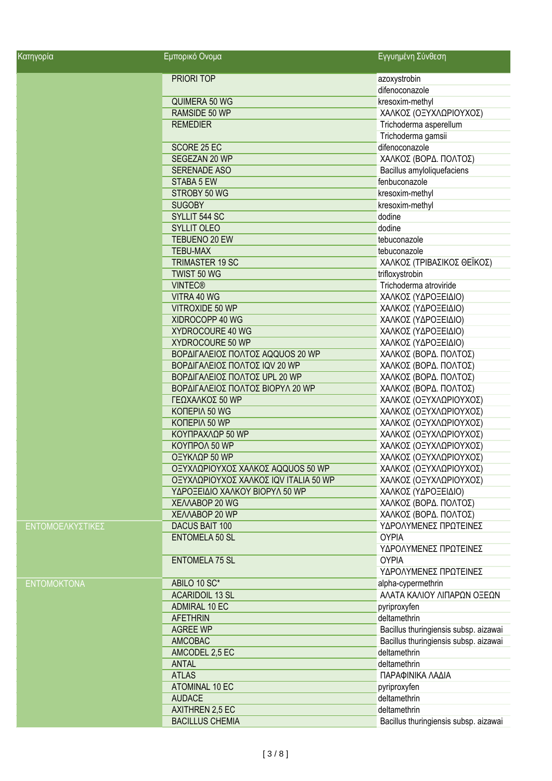| Κατηγορία          | Εμπορικό Ονομα                        | Εγγυημένη Σύνθεση                     |
|--------------------|---------------------------------------|---------------------------------------|
|                    | PRIORI TOP                            | azoxystrobin                          |
|                    |                                       | difenoconazole                        |
|                    | QUIMERA 50 WG                         | kresoxim-methyl                       |
|                    | RAMSIDE 50 WP                         | ΧΑΛΚΟΣ (ΟΞΥΧΛΩΡΙΟΥΧΟΣ)                |
|                    | <b>REMEDIER</b>                       | Trichoderma asperellum                |
|                    |                                       | Trichoderma gamsii                    |
|                    | SCORE 25 EC                           | difenoconazole                        |
|                    | SEGEZAN 20 WP                         | ΧΑΛΚΟΣ (ΒΟΡΔ. ΠΟΛΤΟΣ)                 |
|                    | <b>SERENADE ASO</b>                   | Bacillus amyloliquefaciens            |
|                    | STABA 5 EW                            | fenbuconazole                         |
|                    | STROBY 50 WG                          | kresoxim-methyl                       |
|                    | <b>SUGOBY</b>                         | kresoxim-methyl                       |
|                    | SYLLIT 544 SC                         | dodine                                |
|                    | <b>SYLLIT OLEO</b>                    | dodine                                |
|                    | TEBUENO 20 EW                         | tebuconazole                          |
|                    | <b>TEBU-MAX</b>                       | tebuconazole                          |
|                    | <b>TRIMASTER 19 SC</b>                | ΧΑΛΚΟΣ (ΤΡΙΒΑΣΙΚΟΣ ΘΕΪΚΟΣ)            |
|                    | TWIST 50 WG                           | trifloxystrobin                       |
|                    | <b>VINTEC®</b>                        | Trichoderma atroviride                |
|                    | VITRA 40 WG                           | ΧΑΛΚΟΣ (ΥΔΡΟΞΕΙΔΙΟ)                   |
|                    | VITROXIDE 50 WP                       | ΧΑΛΚΟΣ (ΥΔΡΟΞΕΙΔΙΟ)                   |
|                    | XIDROCOPP 40 WG                       | ΧΑΛΚΟΣ (ΥΔΡΟΞΕΙΔΙΟ)                   |
|                    | XYDROCOURE 40 WG                      | ΧΑΛΚΟΣ (ΥΔΡΟΞΕΙΔΙΟ)                   |
|                    | XYDROCOURE 50 WP                      | ΧΑΛΚΟΣ (ΥΔΡΟΞΕΙΔΙΟ)                   |
|                    | ΒΟΡΔΙΓΑΛΕΙΟΣ ΠΟΛΤΟΣ AQQUOS 20 WP      | ΧΑΛΚΟΣ (ΒΟΡΔ. ΠΟΛΤΟΣ)                 |
|                    | ΒΟΡΔΙΓΑΛΕΙΟΣ ΠΟΛΤΟΣ ΙQV 20 WP         | ΧΑΛΚΟΣ (ΒΟΡΔ. ΠΟΛΤΟΣ)                 |
|                    | ΒΟΡΔΙΓΑΛΕΙΟΣ ΠΟΛΤΟΣ UPL 20 WP         | ΧΑΛΚΟΣ (ΒΟΡΔ. ΠΟΛΤΟΣ)                 |
|                    | ΒΟΡΔΙΓΑΛΕΙΟΣ ΠΟΛΤΟΣ ΒΙΟΡΥΛ 20 WP      | ΧΑΛΚΟΣ (ΒΟΡΔ. ΠΟΛΤΟΣ)                 |
|                    | ΓΕΩΧΑΛΚΟΣ 50 WP                       | ΧΑΛΚΟΣ (ΟΞΥΧΛΩΡΙΟΥΧΟΣ)                |
|                    | KONEPIA 50 WG                         | ΧΑΛΚΟΣ (ΟΞΥΧΛΩΡΙΟΥΧΟΣ)                |
|                    | KONEPIA 50 WP                         | ΧΑΛΚΟΣ (ΟΞΥΧΛΩΡΙΟΥΧΟΣ)                |
|                    | ΚΟΥΠΡΑΧΛΩΡ 50 WP                      | ΧΑΛΚΟΣ (ΟΞΥΧΛΩΡΙΟΥΧΟΣ)                |
|                    | KOYΠPOA 50 WP                         | ΧΑΛΚΟΣ (ΟΞΥΧΛΩΡΙΟΥΧΟΣ)                |
|                    | ΟΞΥΚΛΩΡ 50 WP                         | ΧΑΛΚΟΣ (ΟΞΥΧΛΩΡΙΟΥΧΟΣ)                |
|                    | ΟΞΥΧΛΩΡΙΟΥΧΟΣ ΧΑΛΚΟΣ AQQUOS 50 WP     | ΧΑΛΚΟΣ (ΟΞΥΧΛΩΡΙΟΥΧΟΣ)                |
|                    | ΟΞΥΧΛΩΡΙΟΥΧΟΣ ΧΑΛΚΟΣ ΙQV ITALIA 50 WP | ΧΑΛΚΟΣ (ΟΞΥΧΛΩΡΙΟΥΧΟΣ)                |
|                    | ΥΔΡΟΞΕΙΔΙΟ ΧΑΛΚΟΥ ΒΙΟΡΥΛ 50 WP        | ΧΑΛΚΟΣ (ΥΔΡΟΞΕΙΔΙΟ)                   |
|                    | XEAAABOP 20 WG                        | ΧΑΛΚΟΣ (ΒΟΡΔ. ΠΟΛΤΟΣ)                 |
|                    | XEAAABOP 20 WP                        | ΧΑΛΚΟΣ (ΒΟΡΔ. ΠΟΛΤΟΣ)                 |
| ΕΝΤΟΜΟΕΛΚΥΣΤΙΚΕΣ   | DACUS BAIT 100                        | ΥΔΡΟΛΥΜΕΝΕΣ ΠΡΩΤΕΙΝΕΣ                 |
|                    | <b>ENTOMELA 50 SL</b>                 | <b>OYPIA</b>                          |
|                    |                                       | ΥΔΡΟΛΥΜΕΝΕΣ ΠΡΩΤΕΙΝΕΣ                 |
|                    | <b>ENTOMELA 75 SL</b>                 | <b>OYPIA</b>                          |
|                    |                                       | ΥΔΡΟΛΥΜΕΝΕΣ ΠΡΩΤΕΙΝΕΣ                 |
| <b>ENTOMOKTONA</b> | ABILO 10 SC*                          | alpha-cypermethrin                    |
|                    | <b>ACARIDOIL 13 SL</b>                | ΑΛΑΤΑ ΚΑΛΙΟΥ ΛΙΠΑΡΩΝ ΟΞΕΩΝ            |
|                    | ADMIRAL 10 EC                         | pyriproxyfen                          |
|                    | <b>AFETHRIN</b>                       | deltamethrin                          |
|                    | <b>AGREE WP</b>                       | Bacillus thuringiensis subsp. aizawai |
|                    | <b>AMCOBAC</b>                        | Bacillus thuringiensis subsp. aizawai |
|                    | AMCODEL 2,5 EC                        | deltamethrin                          |
|                    | <b>ANTAL</b>                          | deltamethrin                          |
|                    | <b>ATLAS</b>                          | ΠΑΡΑΦΙΝΙΚΑ ΛΑΔΙΑ                      |
|                    | ATOMINAL 10 EC                        | pyriproxyfen                          |
|                    | <b>AUDACE</b>                         | deltamethrin                          |
|                    | <b>AXITHREN 2,5 EC</b>                | deltamethrin                          |
|                    | <b>BACILLUS CHEMIA</b>                | Bacillus thuringiensis subsp. aizawai |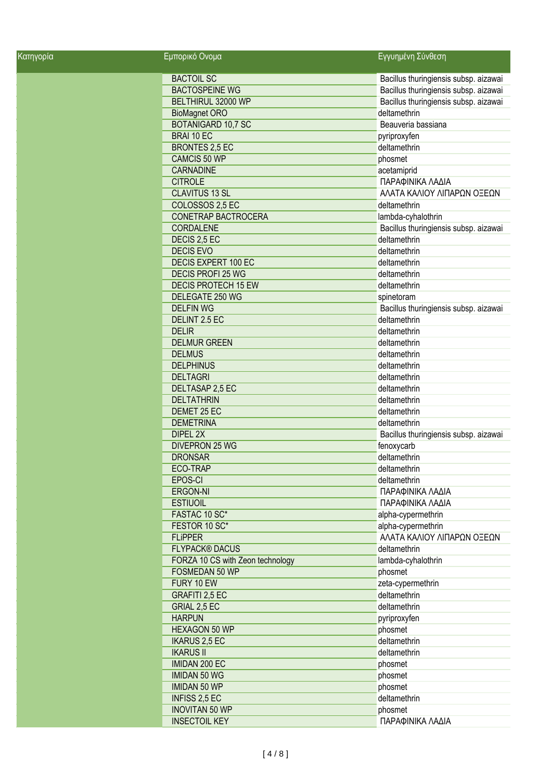| <u>Κατηγορία</u> | Εμπορικό Ονομα                   | Εγγυημένη Σύνθεση                     |
|------------------|----------------------------------|---------------------------------------|
|                  | <b>BACTOIL SC</b>                | Bacillus thuringiensis subsp. aizawai |
|                  | <b>BACTOSPEINE WG</b>            | Bacillus thuringiensis subsp. aizawai |
|                  | BELTHIRUL 32000 WP               | Bacillus thuringiensis subsp. aizawai |
|                  | <b>BioMagnet ORO</b>             | deltamethrin                          |
|                  | <b>BOTANIGARD 10,7 SC</b>        | Beauveria bassiana                    |
|                  | BRAI 10 EC                       | pyriproxyfen                          |
|                  | <b>BRONTES 2,5 EC</b>            | deltamethrin                          |
|                  | <b>CAMCIS 50 WP</b>              | phosmet                               |
|                  | <b>CARNADINE</b>                 | acetamiprid                           |
|                  | <b>CITROLE</b>                   | ΠΑΡΑΦΙΝΙΚΑ ΛΑΔΙΑ                      |
|                  | <b>CLAVITUS 13 SL</b>            | ΑΛΑΤΑ ΚΑΛΙΟΥ ΛΙΠΑΡΩΝ ΟΞΕΩΝ            |
|                  | COLOSSOS 2,5 EC                  | deltamethrin                          |
|                  | CONETRAP BACTROCERA              | lambda-cyhalothrin                    |
|                  | <b>CORDALENE</b>                 | Bacillus thuringiensis subsp. aizawai |
|                  | DECIS 2,5 EC                     | deltamethrin                          |
|                  | <b>DECIS EVO</b>                 | deltamethrin                          |
|                  | DECIS EXPERT 100 EC              | deltamethrin                          |
|                  | <b>DECIS PROFI 25 WG</b>         | deltamethrin                          |
|                  | <b>DECIS PROTECH 15 EW</b>       | deltamethrin                          |
|                  | DELEGATE 250 WG                  | spinetoram                            |
|                  | <b>DELFIN WG</b>                 | Bacillus thuringiensis subsp. aizawai |
|                  | DELINT 2.5 EC                    | deltamethrin                          |
|                  | <b>DELIR</b>                     | deltamethrin                          |
|                  | <b>DELMUR GREEN</b>              | deltamethrin                          |
|                  |                                  | deltamethrin                          |
|                  | <b>DELMUS</b>                    |                                       |
|                  | <b>DELPHINUS</b>                 | deltamethrin                          |
|                  | <b>DELTAGRI</b>                  | deltamethrin                          |
|                  | DELTASAP 2,5 EC                  | deltamethrin                          |
|                  | <b>DELTATHRIN</b>                | deltamethrin                          |
|                  | DEMET 25 EC                      | deltamethrin                          |
|                  | <b>DEMETRINA</b>                 | deltamethrin                          |
|                  | DIPEL 2X                         | Bacillus thuringiensis subsp. aizawai |
|                  | <b>DIVEPRON 25 WG</b>            | fenoxycarb                            |
|                  | <b>DRONSAR</b>                   | deltamethrin                          |
|                  | ECO-TRAP                         | deltamethrin                          |
|                  | <b>EPOS-CI</b>                   | deltamethrin                          |
|                  | ERGON-NI                         | ΠΑΡΑΦΙΝΙΚΑ ΛΑΔΙΑ                      |
|                  | <b>ESTIUOIL</b>                  | ΠΑΡΑΦΙΝΙΚΑ ΛΑΔΙΑ                      |
|                  | FASTAC 10 SC*                    | alpha-cypermethrin                    |
|                  | FESTOR 10 SC*                    | alpha-cypermethrin                    |
|                  | <b>FLiPPER</b>                   | ΑΛΑΤΑ ΚΑΛΙΟΥ ΛΙΠΑΡΩΝ ΟΞΕΩΝ            |
|                  | <b>FLYPACK® DACUS</b>            | deltamethrin                          |
|                  | FORZA 10 CS with Zeon technology | lambda-cyhalothrin                    |
|                  | FOSMEDAN 50 WP                   | phosmet                               |
|                  | FURY 10 EW                       | zeta-cypermethrin                     |
|                  | GRAFITI 2,5 EC                   | deltamethrin                          |
|                  | GRIAL 2,5 EC                     | deltamethrin                          |
|                  | <b>HARPUN</b>                    | pyriproxyfen                          |
|                  | <b>HEXAGON 50 WP</b>             | phosmet                               |
|                  | <b>IKARUS 2,5 EC</b>             | deltamethrin                          |
|                  | <b>IKARUS II</b>                 | deltamethrin                          |
|                  | <b>IMIDAN 200 EC</b>             | phosmet                               |
|                  | <b>IMIDAN 50 WG</b>              | phosmet                               |
|                  | <b>IMIDAN 50 WP</b>              | phosmet                               |
|                  | <b>INFISS 2,5 EC</b>             | deltamethrin                          |
|                  | <b>INOVITAN 50 WP</b>            |                                       |
|                  |                                  | phosmet                               |
|                  | <b>INSECTOIL KEY</b>             | ΠΑΡΑΦΙΝΙΚΑ ΛΑΔΙΑ                      |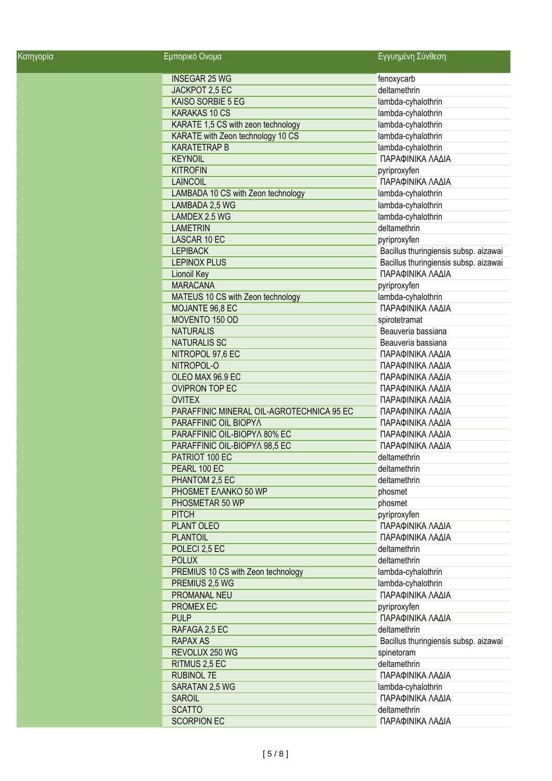| <u>Κα</u> τηγορία | Εμπορικό Ονομα                            | Εγγυημένη Σύνθεση                     |
|-------------------|-------------------------------------------|---------------------------------------|
|                   | <b>INSEGAR 25 WG</b>                      | fenoxycarb                            |
|                   | JACKPOT 2,5 EC                            | deltamethrin                          |
|                   | KAISO SORBIE 5 EG                         | lambda-cyhalothrin                    |
|                   | <b>KARAKAS 10 CS</b>                      | lambda-cyhalothrin                    |
|                   | KARATE 1,5 CS with zeon technology        | lambda-cyhalothrin                    |
|                   | KARATE with Zeon technology 10 CS         | lambda-cyhalothrin                    |
|                   | <b>KARATETRAP B</b>                       | lambda-cyhalothrin                    |
|                   | <b>KEYNOIL</b>                            | ΠΑΡΑΦΙΝΙΚΑ ΛΑΔΙΑ                      |
|                   | <b>KITROFIN</b>                           | pyriproxyfen                          |
|                   | <b>LAINCOIL</b>                           | ΠΑΡΑΦΙΝΙΚΑ ΛΑΔΙΑ                      |
|                   | LAMBADA 10 CS with Zeon technology        | lambda-cyhalothrin                    |
|                   | LAMBADA 2,5 WG                            | lambda-cyhalothrin                    |
|                   | LAMDEX 2.5 WG                             | lambda-cyhalothrin                    |
|                   | <b>LAMETRIN</b>                           | deltamethrin                          |
|                   |                                           |                                       |
|                   | LASCAR 10 EC                              | pyriproxyfen                          |
|                   | <b>LEPIBACK</b>                           | Bacillus thuringiensis subsp. aizawai |
|                   | <b>LEPINOX PLUS</b>                       | Bacillus thuringiensis subsp. aizawai |
|                   | Lionoil Key                               | ΠΑΡΑΦΙΝΙΚΑ ΛΑΔΙΑ                      |
|                   | <b>MARACANA</b>                           | pyriproxyfen                          |
|                   | MATEUS 10 CS with Zeon technology         | lambda-cyhalothrin                    |
|                   | MOJANTE 96,8 EC                           | ΠΑΡΑΦΙΝΙΚΑ ΛΑΔΙΑ                      |
|                   | MOVENTO 150 OD                            | spirotetramat                         |
|                   | <b>NATURALIS</b>                          | Beauveria bassiana                    |
|                   | <b>NATURALIS SC</b>                       | Beauveria bassiana                    |
|                   | NITROPOL 97,6 EC                          | ΠΑΡΑΦΙΝΙΚΑ ΛΑΔΙΑ                      |
|                   | NITROPOL-O                                | ΠΑΡΑΦΙΝΙΚΑ ΛΑΔΙΑ                      |
|                   | OLEO MAX 96.9 EC                          | ΠΑΡΑΦΙΝΙΚΑ ΛΑΔΙΑ                      |
|                   | <b>OVIPRON TOP EC</b>                     | ΠΑΡΑΦΙΝΙΚΑ ΛΑΔΙΑ                      |
|                   | <b>OVITEX</b>                             | ΠΑΡΑΦΙΝΙΚΑ ΛΑΔΙΑ                      |
|                   | PARAFFINIC MINERAL OIL-AGROTECHNICA 95 EC | ΠΑΡΑΦΙΝΙΚΑ ΛΑΔΙΑ                      |
|                   | PARAFFINIC OIL BIOPYA                     | ΠΑΡΑΦΙΝΙΚΑ ΛΑΔΙΑ                      |
|                   | PARAFFINIC OIL-BIOPYA 80% EC              | ΠΑΡΑΦΙΝΙΚΑ ΛΑΔΙΑ                      |
|                   | PARAFFINIC OIL-BIOPYA 98,5 EC             | ΠΑΡΑΦΙΝΙΚΑ ΛΑΔΙΑ                      |
|                   | PATRIOT 100 EC                            | deltamethrin                          |
|                   | PEARL 100 EC                              | deltamethrin                          |
|                   | PHANTOM 2,5 EC                            | deltamethrin                          |
|                   |                                           |                                       |
|                   | PHOSMET EAANKO 50 WP                      | phosmet                               |
|                   | PHOSMETAR 50 WP                           | phosmet                               |
|                   | <b>PITCH</b>                              | pyriproxyfen                          |
|                   | PLANT OLEO                                | ΠΑΡΑΦΙΝΙΚΑ ΛΑΔΙΑ                      |
|                   | <b>PLANTOIL</b>                           | ΠΑΡΑΦΙΝΙΚΑ ΛΑΔΙΑ                      |
|                   | POLECI 2,5 EC                             | deltamethrin                          |
|                   | <b>POLUX</b>                              | deltamethrin                          |
|                   | PREMIUS 10 CS with Zeon technology        | lambda-cyhalothrin                    |
|                   | PREMIUS 2,5 WG                            | lambda-cyhalothrin                    |
|                   | PROMANAL NEU                              | ΠΑΡΑΦΙΝΙΚΑ ΛΑΔΙΑ                      |
|                   | PROMEX EC                                 | pyriproxyfen                          |
|                   | <b>PULP</b>                               | ΠΑΡΑΦΙΝΙΚΑ ΛΑΔΙΑ                      |
|                   | RAFAGA 2,5 EC                             | deltamethrin                          |
|                   | <b>RAPAX AS</b>                           | Bacillus thuringiensis subsp. aizawai |
|                   | REVOLUX 250 WG                            | spinetoram                            |
|                   | RITMUS 2,5 EC                             | deltamethrin                          |
|                   | <b>RUBINOL 7E</b>                         | ΠΑΡΑΦΙΝΙΚΑ ΛΑΔΙΑ                      |
|                   | SARATAN 2,5 WG                            | lambda-cyhalothrin                    |
|                   | <b>SAROIL</b>                             | ΠΑΡΑΦΙΝΙΚΑ ΛΑΔΙΑ                      |
|                   | <b>SCATTO</b>                             | deltamethrin                          |
|                   | <b>SCORPION EC</b>                        | ΠΑΡΑΦΙΝΙΚΑ ΛΑΔΙΑ                      |
|                   |                                           |                                       |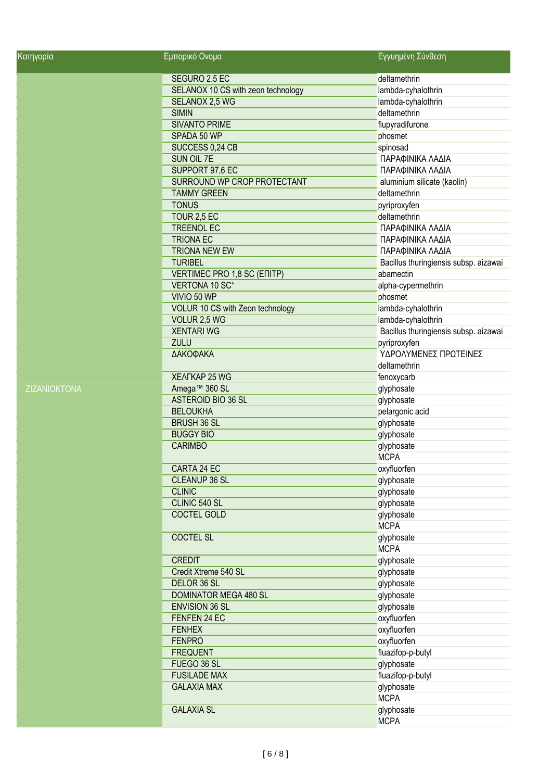| Κατηγορία    | Εμπορικό Ονομα                     | Εγγυημένη Σύνθεση                     |
|--------------|------------------------------------|---------------------------------------|
|              | SEGURO 2.5 EC                      | deltamethrin                          |
|              | SELANOX 10 CS with zeon technology | lambda-cyhalothrin                    |
|              | SELANOX 2,5 WG                     | lambda-cyhalothrin                    |
|              | <b>SIMIN</b>                       | deltamethrin                          |
|              | <b>SIVANTO PRIME</b>               | flupyradifurone                       |
|              | SPADA 50 WP                        | phosmet                               |
|              | SUCCESS 0,24 CB                    | spinosad                              |
|              | SUN OIL 7E                         | ΠΑΡΑΦΙΝΙΚΑ ΛΑΔΙΑ                      |
|              | SUPPORT 97,6 EC                    | ΠΑΡΑΦΙΝΙΚΑ ΛΑΔΙΑ                      |
|              | SURROUND WP CROP PROTECTANT        | aluminium silicate (kaolin)           |
|              | <b>TAMMY GREEN</b>                 | deltamethrin                          |
|              | <b>TONUS</b>                       | pyriproxyfen                          |
|              | TOUR 2,5 EC                        | deltamethrin                          |
|              | <b>TREENOL EC</b>                  | ΠΑΡΑΦΙΝΙΚΑ ΛΑΔΙΑ                      |
|              | <b>TRIONA EC</b>                   | ΠΑΡΑΦΙΝΙΚΑ ΛΑΔΙΑ                      |
|              | <b>TRIONA NEW EW</b>               | ΠΑΡΑΦΙΝΙΚΑ ΛΑΔΙΑ                      |
|              | <b>TURIBEL</b>                     | Bacillus thuringiensis subsp. aizawai |
|              | VERTIMEC PRO 1,8 SC (ENITP)        | abamectin                             |
|              | VERTONA 10 SC*                     | alpha-cypermethrin                    |
|              | VIVIO 50 WP                        | phosmet                               |
|              | VOLUR 10 CS with Zeon technology   | lambda-cyhalothrin                    |
|              | VOLUR 2,5 WG                       | lambda-cyhalothrin                    |
|              | <b>XENTARI WG</b>                  | Bacillus thuringiensis subsp. aizawai |
|              | <b>ZULU</b>                        | pyriproxyfen                          |
|              | ΔΑΚΟΦΑΚΑ                           | ΥΔΡΟΛΥΜΕΝΕΣ ΠΡΩΤΕΙΝΕΣ                 |
|              |                                    | deltamethrin                          |
|              | <b>XEAFKAP 25 WG</b>               |                                       |
| ZIZANIOKTONA |                                    | fenoxycarb                            |
|              | Amega™ 360 SL                      | glyphosate                            |
|              | ASTEROID BIO 36 SL                 | glyphosate                            |
|              | <b>BELOUKHA</b>                    | pelargonic acid                       |
|              | <b>BRUSH 36 SL</b>                 | glyphosate                            |
|              | <b>BUGGY BIO</b>                   | glyphosate                            |
|              | <b>CARIMBO</b>                     | glyphosate                            |
|              |                                    | <b>MCPA</b>                           |
|              | CARTA 24 EC                        | oxyfluorfen                           |
|              | <b>CLEANUP 36 SL</b>               | glyphosate                            |
|              | <b>CLINIC</b>                      | glyphosate                            |
|              | CLINIC 540 SL                      | glyphosate                            |
|              | <b>COCTEL GOLD</b>                 | glyphosate                            |
|              |                                    | <b>MCPA</b>                           |
|              | <b>COCTEL SL</b>                   | glyphosate                            |
|              |                                    | <b>MCPA</b>                           |
|              | <b>CREDIT</b>                      | glyphosate                            |
|              | Credit Xtreme 540 SL               | glyphosate                            |
|              | DELOR 36 SL                        | glyphosate                            |
|              | DOMINATOR MEGA 480 SL              | glyphosate                            |
|              | <b>ENVISION 36 SL</b>              | glyphosate                            |
|              | FENFEN 24 EC                       | oxyfluorfen                           |
|              | <b>FENHEX</b>                      | oxyfluorfen                           |
|              | <b>FENPRO</b>                      | oxyfluorfen                           |
|              | <b>FREQUENT</b>                    | fluazifop-p-butyl                     |
|              | FUEGO 36 SL                        | glyphosate                            |
|              | <b>FUSILADE MAX</b>                | fluazifop-p-butyl                     |
|              | <b>GALAXIA MAX</b>                 | glyphosate                            |
|              |                                    | <b>MCPA</b>                           |
|              | <b>GALAXIA SL</b>                  | glyphosate                            |
|              |                                    | <b>MCPA</b>                           |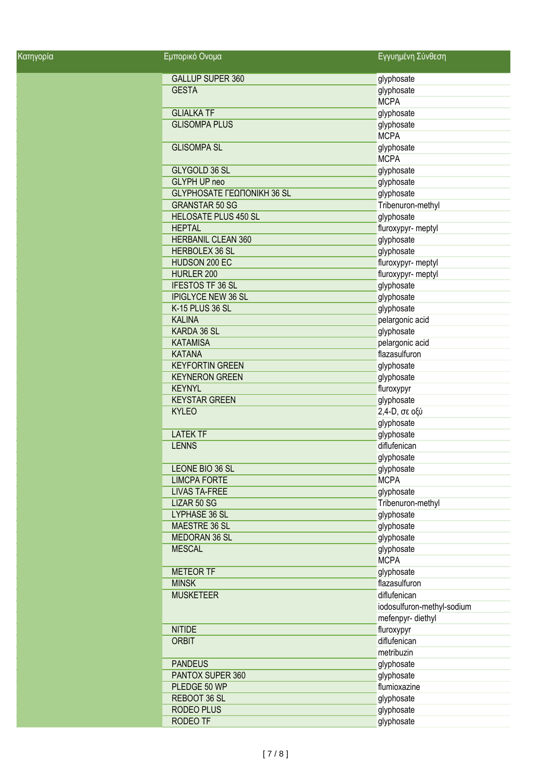| <u>Κα</u> τηγορία | Εμπορικό Ονομα              | Εγγυημένη Σύνθεση          |
|-------------------|-----------------------------|----------------------------|
|                   | <b>GALLUP SUPER 360</b>     | glyphosate                 |
|                   | <b>GESTA</b>                | glyphosate                 |
|                   |                             | <b>MCPA</b>                |
|                   | <b>GLIALKA TF</b>           | glyphosate                 |
|                   | <b>GLISOMPA PLUS</b>        | glyphosate                 |
|                   |                             | <b>MCPA</b>                |
|                   | <b>GLISOMPA SL</b>          | glyphosate                 |
|                   |                             | <b>MCPA</b>                |
|                   | GLYGOLD 36 SL               | glyphosate                 |
|                   | GLYPH UP neo                | glyphosate                 |
|                   | GLYPHOSATE ΓΕΩΠΟΝΙΚΗ 36 SL  | glyphosate                 |
|                   | <b>GRANSTAR 50 SG</b>       | Tribenuron-methyl          |
|                   | <b>HELOSATE PLUS 450 SL</b> | glyphosate                 |
|                   | <b>HEPTAL</b>               | fluroxypyr- meptyl         |
|                   | HERBANIL CLEAN 360          | glyphosate                 |
|                   | <b>HERBOLEX 36 SL</b>       | glyphosate                 |
|                   | HUDSON 200 EC               | fluroxypyr- meptyl         |
|                   | HURLER 200                  | fluroxypyr- meptyl         |
|                   | <b>IFESTOS TF 36 SL</b>     | glyphosate                 |
|                   | <b>IPIGLYCE NEW 36 SL</b>   | glyphosate                 |
|                   | K-15 PLUS 36 SL             | glyphosate                 |
|                   | <b>KALINA</b>               | pelargonic acid            |
|                   | KARDA 36 SL                 | glyphosate                 |
|                   | <b>KATAMISA</b>             | pelargonic acid            |
|                   | <b>KATANA</b>               | flazasulfuron              |
|                   | <b>KEYFORTIN GREEN</b>      | glyphosate                 |
|                   | <b>KEYNERON GREEN</b>       | glyphosate                 |
|                   | <b>KEYNYL</b>               | fluroxypyr                 |
|                   | <b>KEYSTAR GREEN</b>        | glyphosate                 |
|                   | <b>KYLEO</b>                | 2,4-D, σε οξύ              |
|                   |                             | glyphosate                 |
|                   | <b>LATEK TF</b>             | glyphosate                 |
|                   | <b>LENNS</b>                | diflufenican               |
|                   |                             | glyphosate                 |
|                   | LEONE BIO 36 SL             | glyphosate                 |
|                   | <b>LIMCPA FORTE</b>         | <b>MCPA</b>                |
|                   | <b>LIVAS TA-FREE</b>        | glyphosate                 |
|                   | LIZAR 50 SG                 | Tribenuron-methyl          |
|                   | LYPHASE 36 SL               | glyphosate                 |
|                   | MAESTRE 36 SL               | glyphosate                 |
|                   | <b>MEDORAN 36 SL</b>        | glyphosate                 |
|                   | <b>MESCAL</b>               | glyphosate                 |
|                   |                             | <b>MCPA</b>                |
|                   | <b>METEOR TF</b>            | glyphosate                 |
|                   | <b>MINSK</b>                | flazasulfuron              |
|                   | <b>MUSKETEER</b>            | diflufenican               |
|                   |                             | iodosulfuron-methyl-sodium |
|                   |                             | mefenpyr-diethyl           |
|                   | <b>NITIDE</b>               | fluroxypyr                 |
|                   | <b>ORBIT</b>                | diflufenican               |
|                   |                             | metribuzin                 |
|                   | <b>PANDEUS</b>              | glyphosate                 |
|                   | PANTOX SUPER 360            | glyphosate                 |
|                   | PLEDGE 50 WP                | flumioxazine               |
|                   | REBOOT 36 SL                | glyphosate                 |
|                   | <b>RODEO PLUS</b>           | glyphosate                 |
|                   | <b>RODEO TF</b>             | glyphosate                 |